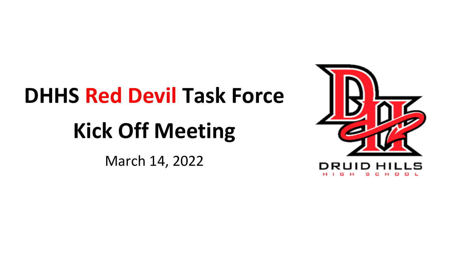# **DHHS Red Devil Task Force**

# **Kick Off Meeting**

March 14, 2022

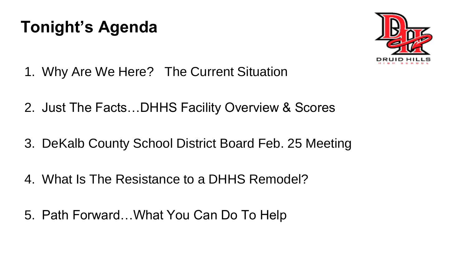# **Tonight's Agenda**



- 1. Why Are We Here? The Current Situation
- 2. Just The Facts…DHHS Facility Overview & Scores
- 3. DeKalb County School District Board Feb. 25 Meeting
- 4. What Is The Resistance to a DHHS Remodel?
- 5. Path Forward…What You Can Do To Help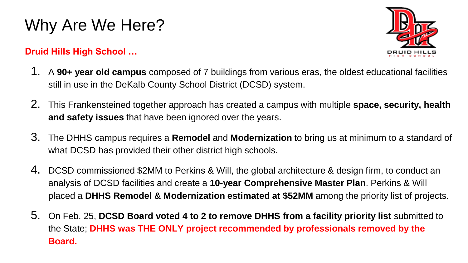# Why Are We Here?

#### **Druid Hills High School …**



- 1. A **90+ year old campus** composed of 7 buildings from various eras, the oldest educational facilities still in use in the DeKalb County School District (DCSD) system.
- 2. This Frankensteined together approach has created a campus with multiple **space, security, health and safety issues** that have been ignored over the years.
- 3. The DHHS campus requires a **Remodel** and **Modernization** to bring us at minimum to a standard of what DCSD has provided their other district high schools.
- 4. DCSD commissioned \$2MM to Perkins & Will, the global architecture & design firm, to conduct an analysis of DCSD facilities and create a **10-year Comprehensive Master Plan**. Perkins & Will placed a **DHHS Remodel & Modernization estimated at \$52MM** among the priority list of projects.
- 5. On Feb. 25, **DCSD Board voted 4 to 2 to remove DHHS from a facility priority list** submitted to the State; **DHHS was THE ONLY project recommended by professionals removed by the Board.**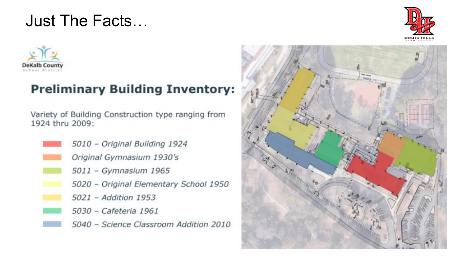## Just The Facts…





### **Preliminary Building Inventory:**

Variety of Building Construction type ranging from 1924 thru 2009:

5010 - Original Building 1924 Original Gymnasium 1930's 5011 - Gymnasium 1965 5020 - Original Elementary School 1950 5021 - Addition 1953 5030 - Cafeteria 1961 5040 - Science Classroom Addition 2010

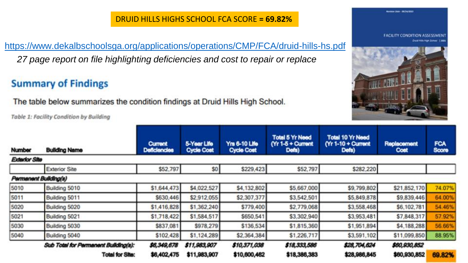#### DRUID HILLS HIGHS SCHOOL FCA SCORE **= 69.82%**

<https://www.dekalbschoolsga.org/applications/operations/CMP/FCA/druid-hills-hs.pdf> *27 page report on file highlighting deficiencies and cost to repair or replace*

### **Summary of Findings**

The table below summarizes the condition findings at Druid Hills High School.

Table 1: Facility Condition by Building



**CONTRACTOR CONTRACTOR** 

| Number                | <b>Building Name</b>                 | <b>Current</b><br><b>Deficiencies</b> | 5-Year Life<br><b>Cycle Cost</b> | <b>Yrs 6-10 Life</b><br><b>Cycle Cost</b> | <b>Total 5 Yr Need</b><br>$(Yr 1-5 + Current$<br>Defs) | <b>Total 10 Yr Need</b><br>(Yr 1-10 + Current<br>Defs) | Replacement<br>Cost | <b>FCA</b><br>Score |
|-----------------------|--------------------------------------|---------------------------------------|----------------------------------|-------------------------------------------|--------------------------------------------------------|--------------------------------------------------------|---------------------|---------------------|
| <b>Exterior Site</b>  |                                      |                                       |                                  |                                           |                                                        |                                                        |                     |                     |
|                       | <b>Exterior Site</b>                 | \$52,797                              | \$0                              | \$229,423                                 | \$52,797                                               | \$282,220                                              |                     |                     |
| Permanent Building(s) |                                      |                                       |                                  |                                           |                                                        |                                                        |                     |                     |
| 5010                  | Building 5010                        | \$1,644,473                           | \$4,022,527                      | \$4,132,802                               | \$5,667,000                                            | \$9,799,802                                            | \$21,852,170        | 74.07%              |
| 5011                  | Building 5011                        | \$630,446                             | \$2,912,055                      | \$2,307,377                               | \$3,542,501                                            | \$5,849,878                                            | \$9,839,446         | 64.00%              |
| 5020                  | Building 5020                        | \$1,416,828                           | \$1,362,240                      | \$779,400                                 | \$2,779,068                                            | \$3,558,468                                            | \$6,102,781         | 54.46%              |
| 5021                  | Building 5021                        | \$1,718,422                           | \$1,584,517                      | \$650,541                                 | \$3,302,940                                            | \$3,953,481                                            | \$7,848,317         | 57.92%              |
| 5030                  | Building 5030                        | \$837,081                             | \$978,279                        | \$136,534                                 | \$1,815,360                                            | \$1,951,894                                            | \$4,188,288         | 56.66%              |
| 5040                  | Building 5040                        | \$102,428                             | \$1,124,289                      | \$2,364,384                               | \$1,226,717                                            | \$3,591,102                                            | \$11,099,850        | 88.95%              |
|                       | Sub Total for Permanent Building(s): | \$6,349,678                           | \$11,983,907                     | \$10,371,038                              | \$18,333,586                                           | \$28,704,624                                           | \$60,930,852        |                     |
|                       | <b>Total for Site:</b>               | \$6,402,475                           | \$11,983,907                     | \$10,600,462                              | \$18,386,383                                           | \$28,986,845                                           | \$60,930,852        | 69.82%              |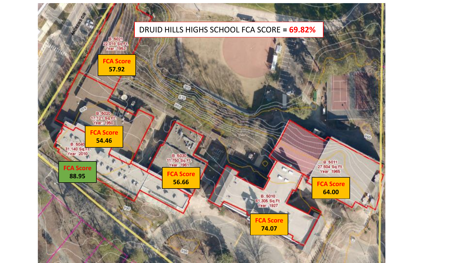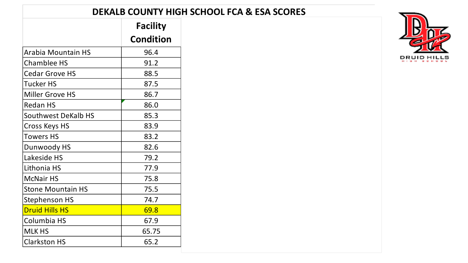#### **DEKALB COUNTY HIGH SCHOOL FCA & ESA SCORES**

|                       | <b>Facility</b>  |
|-----------------------|------------------|
|                       | <b>Condition</b> |
| Arabia Mountain HS    | 96.4             |
| Chamblee HS           | 91.2             |
| Cedar Grove HS        | 88.5             |
| Tucker HS             | 87.5             |
| Miller Grove HS       | 86.7             |
| <b>Redan HS</b>       | 86.0             |
| Southwest DeKalb HS   | 85.3             |
| Cross Keys HS         | 83.9             |
| Towers HS             | 83.2             |
| Dunwoody HS           | 82.6             |
| Lakeside HS           | 79.2             |
| Lithonia HS           | 77.9             |
| McNair HS             | 75.8             |
| Stone Mountain HS     | 75.5             |
| Stephenson HS         | 74.7             |
| <b>Druid Hills HS</b> | 69.8             |
| Columbia HS           | 67.9             |
| MLK HS                | 65.75            |
| Clarkston HS          | 65.2             |

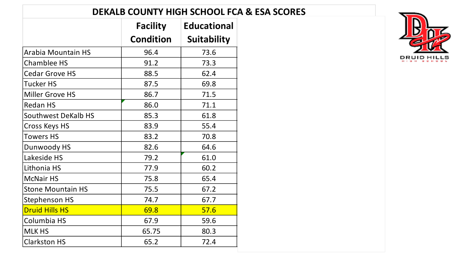#### **DEKALB COUNTY HIGH SCHOOL FCA & ESA SCORES**

|                          | <b>Facility</b>  | <b>Educational</b> |
|--------------------------|------------------|--------------------|
|                          | <b>Condition</b> | <b>Suitability</b> |
| Arabia Mountain HS       | 96.4             | 73.6               |
| Chamblee HS              | 91.2             | 73.3               |
| Cedar Grove HS           | 88.5             | 62.4               |
| <b>Tucker HS</b>         | 87.5             | 69.8               |
| Miller Grove HS          | 86.7             | 71.5               |
| Redan HS                 | 86.0             | 71.1               |
| Southwest DeKalb HS      | 85.3             | 61.8               |
| Cross Keys HS            | 83.9             | 55.4               |
| <b>Towers HS</b>         | 83.2             | 70.8               |
| Dunwoody HS              | 82.6             | 64.6               |
| Lakeside HS              | 79.2             | 61.0               |
| Lithonia HS              | 77.9             | 60.2               |
| <b>McNair HS</b>         | 75.8             | 65.4               |
| <b>Stone Mountain HS</b> | 75.5             | 67.2               |
| Stephenson HS            | 74.7             | 67.7               |
| <b>Druid Hills HS</b>    | 69.8             | 57.6               |
| Columbia HS              | 67.9             | 59.6               |
| MLK HS                   | 65.75            | 80.3               |
| Clarkston HS             | 65.2             | 72.4               |

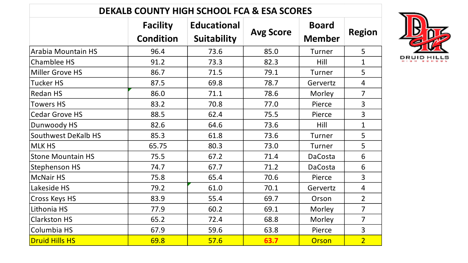| <b>DEKALB COUNTY HIGH SCHOOL FCA &amp; ESA SCORES</b> |                                     |                                          |                  |                               |                |  |  |  |  |
|-------------------------------------------------------|-------------------------------------|------------------------------------------|------------------|-------------------------------|----------------|--|--|--|--|
|                                                       | <b>Facility</b><br><b>Condition</b> | <b>Educational</b><br><b>Suitability</b> | <b>Avg Score</b> | <b>Board</b><br><b>Member</b> | <b>Region</b>  |  |  |  |  |
| Arabia Mountain HS                                    | 96.4                                | 73.6                                     | 85.0             | Turner                        | 5              |  |  |  |  |
| Chamblee HS                                           | 91.2                                | 73.3                                     | 82.3             | Hill                          | $\mathbf 1$    |  |  |  |  |
| Miller Grove HS                                       | 86.7                                | 71.5                                     | 79.1             | Turner                        | 5              |  |  |  |  |
| Tucker HS                                             | 87.5                                | 69.8                                     | 78.7             | Gervertz                      | $\overline{4}$ |  |  |  |  |
| Redan HS                                              | 86.0                                | 71.1                                     | 78.6             | Morley                        | $\overline{7}$ |  |  |  |  |
| <b>Towers HS</b>                                      | 83.2                                | 70.8                                     | 77.0             | Pierce                        | 3              |  |  |  |  |
| Cedar Grove HS                                        | 88.5                                | 62.4                                     | 75.5             | Pierce                        | 3              |  |  |  |  |
| Dunwoody HS                                           | 82.6                                | 64.6                                     | 73.6             | Hill                          | $\mathbf{1}$   |  |  |  |  |
| Southwest DeKalb HS                                   | 85.3                                | 61.8                                     | 73.6             | Turner                        | 5              |  |  |  |  |
| <b>MLK HS</b>                                         | 65.75                               | 80.3                                     | 73.0             | Turner                        | 5              |  |  |  |  |
| <b>Stone Mountain HS</b>                              | 75.5                                | 67.2                                     | 71.4             | DaCosta                       | 6              |  |  |  |  |
| Stephenson HS                                         | 74.7                                | 67.7                                     | 71.2             | DaCosta                       | 6              |  |  |  |  |
| <b>McNair HS</b>                                      | 75.8                                | 65.4                                     | 70.6             | Pierce                        | 3              |  |  |  |  |
| Lakeside HS                                           | 79.2                                | 61.0                                     | 70.1             | Gervertz                      | 4              |  |  |  |  |
| Cross Keys HS                                         | 83.9                                | 55.4                                     | 69.7             | Orson                         | $\overline{2}$ |  |  |  |  |
| Lithonia HS                                           | 77.9                                | 60.2                                     | 69.1             | Morley                        | $\overline{7}$ |  |  |  |  |
| <b>Clarkston HS</b>                                   | 65.2                                | 72.4                                     | 68.8             | Morley                        | $\overline{7}$ |  |  |  |  |
| Columbia HS                                           | 67.9                                | 59.6                                     | 63.8             | Pierce                        | 3              |  |  |  |  |
| <b>Druid Hills HS</b>                                 | 69.8                                | 57.6                                     | 63.7             | Orson                         | $\overline{2}$ |  |  |  |  |

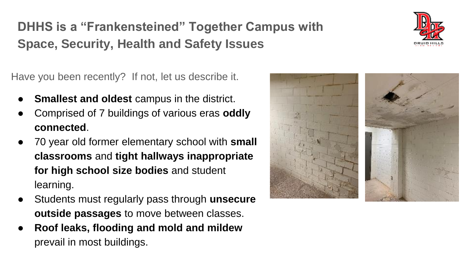## **DHHS is a "Frankensteined" Together Campus with Space, Security, Health and Safety Issues**

Have you been recently? If not, let us describe it.

- **Smallest and oldest** campus in the district.
- Comprised of 7 buildings of various eras **oddly connected**.
- 70 year old former elementary school with **small classrooms** and **tight hallways inappropriate for high school size bodies** and student learning.
- Students must regularly pass through **unsecure outside passages** to move between classes.
- **Roof leaks, flooding and mold and mildew**  prevail in most buildings.



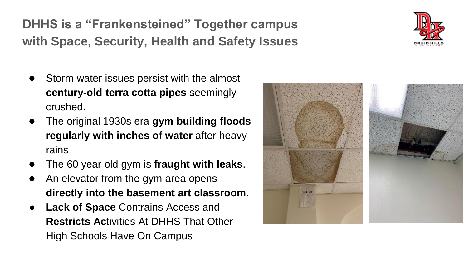**DHHS is a "Frankensteined" Together campus with Space, Security, Health and Safety Issues** 

- Storm water issues persist with the almost **century-old terra cotta pipes** seemingly crushed.
- The original 1930s era **gym building floods regularly with inches of water** after heavy rains
- The 60 year old gym is **fraught with leaks**.
- An elevator from the gym area opens **directly into the basement art classroom**.
- **Lack of Space Contrains Access and Restricts Ac**tivities At DHHS That Other High Schools Have On Campus



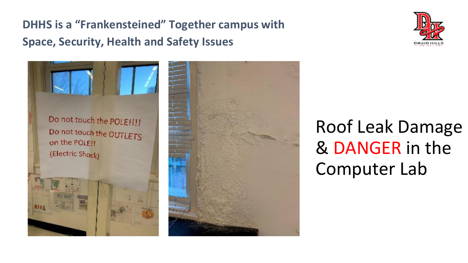**DHHS is a "Frankensteined" Together campus with Space, Security, Health and Safety Issues** 







# Roof Leak Damage & DANGER in the Computer Lab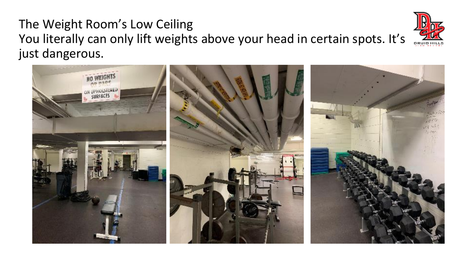### The Weight Room's Low Ceiling You literally can only lift weights above your head in certain spots. It's just dangerous.



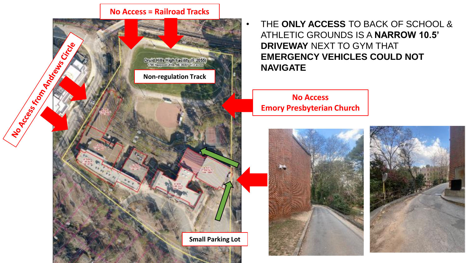#### **No Access = Railroad Tracks**



• THE **ONLY ACCESS** TO BACK OF SCHOOL & ATHLETIC GROUNDS IS A **NARROW 10.5' DRIVEWAY** NEXT TO GYM THAT **EMERGENCY VEHICLES COULD NOT NAVIGATE**

**No Access Emory Presbyterian Church**



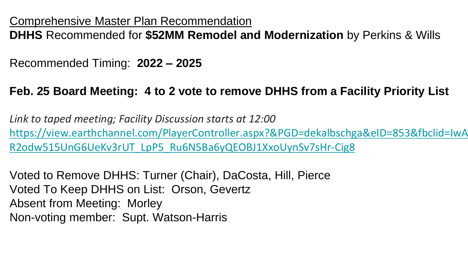Comprehensive Master Plan Recommendation

**DHHS** Recommended for **\$52MM Remodel and Modernization** by Perkins & Wills

Recommended Timing: **2022 – 2025**

### **Feb. 25 Board Meeting: 4 to 2 vote to remove DHHS from a Facility Priority List**

*Link to taped meeting; Facility Discussion starts at 12:00*  [https://view.earthchannel.com/PlayerController.aspx?&PGD=dekalbschga&eID=853&fbclid=IwA](https://view.earthchannel.com/PlayerController.aspx?&PGD=dekalbschga&eID=853&fbclid=IwAR2odw515UnG6UeKv3rUT_LpP5_Ru6N5Ba6yQEOBJ1XxoUynSv7sHr-Cig8) R2odw515UnG6UeKv3rUT\_LpP5\_Ru6N5Ba6yQEOBJ1XxoUynSv7sHr-Cig8

Voted to Remove DHHS: Turner (Chair), DaCosta, Hill, Pierce Voted To Keep DHHS on List: Orson, Gevertz Absent from Meeting: Morley Non-voting member: Supt. Watson-Harris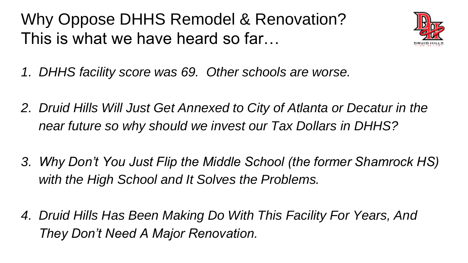Why Oppose DHHS Remodel & Renovation? This is what we have heard so far…



- *1. DHHS facility score was 69. Other schools are worse.*
- *2. Druid Hills Will Just Get Annexed to City of Atlanta or Decatur in the near future so why should we invest our Tax Dollars in DHHS?*
- *3. Why Don't You Just Flip the Middle School (the former Shamrock HS) with the High School and It Solves the Problems.*
- *4. Druid Hills Has Been Making Do With This Facility For Years, And They Don't Need A Major Renovation.*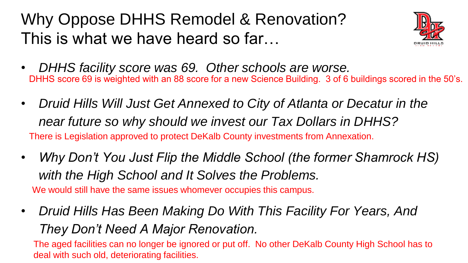# Why Oppose DHHS Remodel & Renovation? This is what we have heard so far…



- *DHHS facility score was 69. Other schools are worse.* DHHS score 69 is weighted with an 88 score for a new Science Building. 3 of 6 buildings scored in the 50's.
- *Druid Hills Will Just Get Annexed to City of Atlanta or Decatur in the near future so why should we invest our Tax Dollars in DHHS?* There is Legislation approved to protect DeKalb County investments from Annexation.
- *Why Don't You Just Flip the Middle School (the former Shamrock HS) with the High School and It Solves the Problems.* We would still have the same issues whomever occupies this campus.
- *Druid Hills Has Been Making Do With This Facility For Years, And They Don't Need A Major Renovation.*

The aged facilities can no longer be ignored or put off. No other DeKalb County High School has to deal with such old, deteriorating facilities.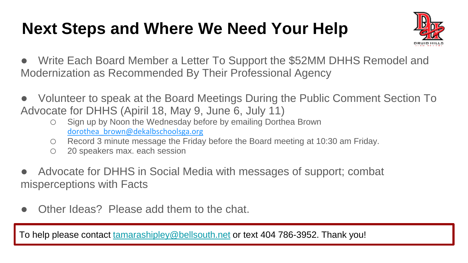# **Next Steps and Where We Need Your Help**



- Write Each Board Member a Letter To Support the \$52MM DHHS Remodel and Modernization as Recommended By Their Professional Agency
- Volunteer to speak at the Board Meetings During the Public Comment Section To Advocate for DHHS (Apiril 18, May 9, June 6, July 11)
	- o Sign up by Noon the Wednesday before by emailing Dorthea Brown dorothea\_brown@dekalbschoolsga.org
	- o Record 3 minute message the Friday before the Board meeting at 10:30 am Friday.
	- o 20 speakers max. each session
- Advocate for DHHS in Social Media with messages of support; combat misperceptions with Facts
- Other Ideas? Please add them to the chat.

To help please contact [tamarashipley@bellsouth.net](mailto:tamarashipley@bellsouth.net) or text 404 786-3952. Thank you!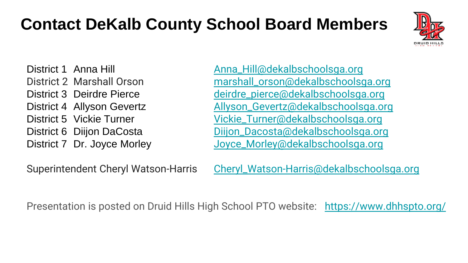# **Contact DeKalb County School Board Members**



District 1 Anna Hill [Anna\\_Hill@dekalbschoolsga.org](mailto:Anna_Hill@dekalbschoolsga.org) District 2 Marshall Orson [marshall\\_orson@dekalbschoolsga.org](mailto:marshall_orson@dekalbschoolsga.org) District 3 Deirdre Pierce [deirdre\\_pierce@dekalbschoolsga.org](mailto:deirdre_pierce@dekalbschoolsga.org) District 4 Allyson Gevertz **[Allyson\\_Gevertz@dekalbschoolsga.org](mailto:Allyson_Gevertz@dekalbschoolsga.org)** District 5 Vickie Turner [Vickie\\_Turner@dekalbschoolsga.org](mailto:Vickie_Turner@dekalbschoolsga.org) District 6 Diijon DaCosta [Diijon\\_Dacosta@dekalbschoolsga.org](mailto:Diijon_Dacosta@dekalbschoolsga.org) District 7 Dr. Joyce Morley [Joyce\\_Morley@dekalbschoolsga.org](mailto:Joyce_Morley@dekalbschoolsga.org)

Superintendent Cheryl Watson-Harris [Cheryl\\_Watson-Harris@dekalbschoolsga.org](mailto:Cheryl_Watson-Harris@dekalbschoolsga.org)

Presentation is posted on Druid Hills High School PTO website: <https://www.dhhspto.org/>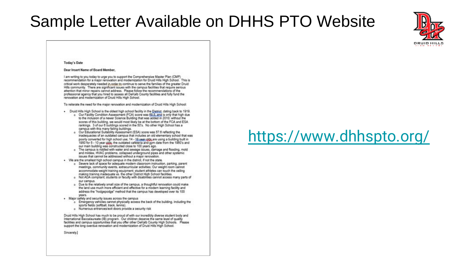## Sample Letter Available on DHHS PTO Website



#### Today's Date

#### Dear Insert Name of Board Member.

I am writing to you today to urge you to support the Comprehensive Master Plan (CMP) recommendation for a major renovation and modernization for Druid Hills High School. This is critical work desperately needed in order to continue to serve the families of the preater Druid Hills community. There are significant issues with the campus facilities that require serious attention that minor repairs cannot address. Please follow the recommendations of the professional agency that you hired to assess all DeKalb County facilities and fully fund the renovation and modernization of Druid Hills High School.

To reiterate the need for the major renovation and modernization of Druid Hills High School:

- . Druid Hills High School is the oldest high school facility in the District, dating back to 1919.
	- o Our Facility Condition Assessment (FCA) score was CQ.S. and is only that high due to the inclusion of a newer Science Building that was added in 2010; without the scores of this building, we would most likely be at the bottom of the FCA and ESA. rankings. 3 of our 6 buildings scored in the 50's. No other High School has a campus with this many failing buildings.
	- Our Educational Suitability Assessment (ESA) score was 57.6 reflecting the inadequacies of an outdated campus that includes an old elementary school that was poorly converted for high school use: 14 - 18 year olds are using a building built in 1950 for 5 - 10 year olds; the outdated cafeteria and gym date from the 1960's and our main building was constructed close to 100 years ago.
	- o The campus is riddled with water and sewage issues, damage and flooding, mold and mildew, HVAC problems, collapsed underground pipes and other systemic issues that cannot be addressed without a major renovation.
- . We are the smallest high school campus in the district. if not the state.
	- a Severe lack of space for adequate modern classroom instruction, parking, parent meetings, community events, extracumicular activities; Our weight room cannot accommodate weight training equipment; student athletes can touch the ceiling making training inadequate vs. the other District High School facilities.
	- a Not ADA compliant: students or faculty with disabilities cannot access many parts of our campus.
	- o Due to the relatively small size of the campus, a thoughtful renovation could make the land use much more efficient and effective for a modern learning facility and address the "hodgepodge" method that the campus has developed over its 100 years.
- . Major safety and security issues across the campus
	- 6 Emergency vehicles cannot physically access the back of the building, including the sports fields (softball, track, tennis).
	- a Numerous entrances/exit doors provide a security risk

Druid Hills High School has much to be proud of with our incredibly diverse student body and International Baccalaureate (IB) program. Our children deserve the same level of quality facilities and campus opportunities that you offer other DeKalb County High Schools. Please support the long overdue renovation and modernization of Druid Hills High School.

Sincerely.

## <https://www.dhhspto.org/>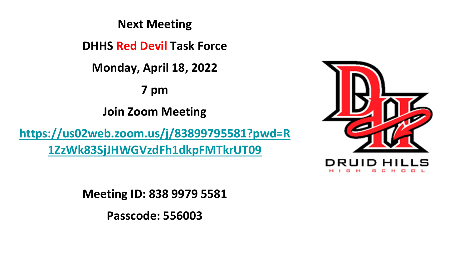**Next Meeting**

**DHHS Red Devil Task Force** 

**Monday, April 18, 2022**

**7 pm**

**Join Zoom Meeting**

**[https://us02web.zoom.us/j/83899795581?pwd=R](https://us02web.zoom.us/j/83899795581?pwd=R1ZzWk83SjJHWGVzdFh1dkpFMTkrUT09) 1ZzWk83SjJHWGVzdFh1dkpFMTkrUT09**



**Meeting ID: 838 9979 5581**

**Passcode: 556003**